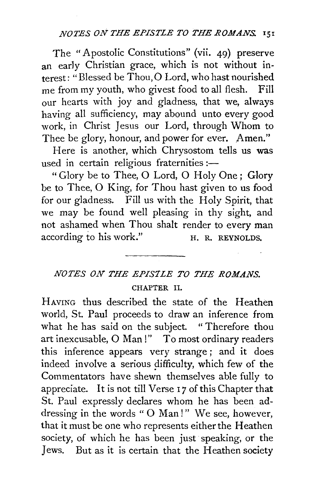## *NOTES ON THE EPISTLE TO THE ROMANS.* 151

The " Apostolic Constitutions" (vii. 49) preserve an early Christian grace, which is not without interest: "Blessed be Thou, 0 Lord, who hast nourished me from my youth, who givest food to all flesh. Fill our hearts with joy and gladness, that we, always having all sufficiency, may abound unto every good work, in Christ Jesus our Lord, through Whom to Thee be glory, honour, and power for ever. Amen."

Here is another, which Chrysostom tells us was used in certain religious fraternities : $-$ 

"Glory be to Thee, 0 Lord, 0 Holy One; Glory be to Thee, 0 King, for Thou hast given to us food for our gladness. Fill us with the Holy Spirit, that we may be found well pleasing in thy sight, and not ashamed when Thou shalt render to every man according to his work." H. R. REYNOLDS.

## *NOTES ON THE EPIS'ILE TO THE ROMANS.*  CHAPTER II.

HAVING thus described the state of the Heathen world, St. Paul proceeds to draw an inference from what he has said on the subject. " Therefore thou art inexcusable, O Man!" To most ordinary readers this inference appears very strange; and it does indeed involve a serious difficulty, which few of the Commentators have shewn themselves able fully to appreciate. It is not till Verse 17 of this Chapter that St. Paul expressly declares whom he has been addressing in the words " O Man!" We see, however, that it must be one who represents either the Heathen society, of which he has been just speaking, or the Jews. But as it is certain that the Heathen society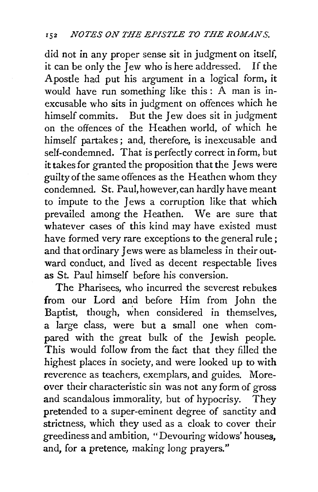did not in any proper sense sit in judgment on itself, it can be only the Jew who is here addressed. If the Apostle had put his argument in a logical form, it would have run something like this : A man is inexcusable who sits in judgment on offences which he himself commits. But the Jew does sit in judgment on the offences of the Heathen world, of which he himself partakes ; and, therefore, is inexcusable and self-condemned. That is perfectly correct in form, but it takes for granted the proposition that the Jews were guilty of the same offences as the Heathen whom they condemned. St. Paul, however, can hardly have meant to impute to the Jews a corruption like that which prevailed among the Heathen. We are sure that whatever cases of this kind may have existed must have formed very rare exceptions to the general rule; and that ordinary Jews were as blameless in their outward conduct, and lived as decent respectable lives as St. Paul himself before his conversion.

The Pharisees, who incurred the severest rebukes from our Lord and before Him from John the Baptist, though, when considered in themselves, a large class, were but a small one when compared with the great bulk of the Jewish people. This would follow from the fact that they filled the highest places in society, and were looked up to with reverence as teachers, exemplars, and guides. Moreover their characteristic sin was not any form of gross and scandalous immorality, but of hypocrisy. They pretended to a super-eminent degree of sanctity and strictness, which they used as a cloak to cover their greediness and ambition, "Devouring widows' houses, and, for a pretence, making long prayers."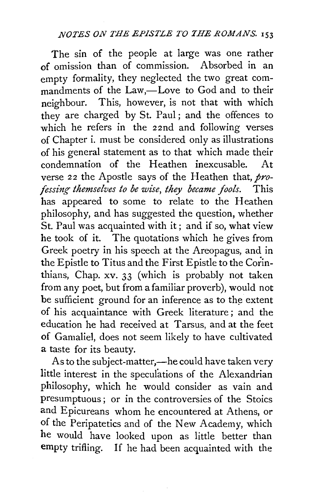The sin of the people at large was one rather of omission than of commission. Absorbed in an empty formality, they neglected the two great commandments of the Law,—Love to God and to their neighbour. This, however, is not that with which they are charged by St. Paul; and the offences to which he refers in the 22nd and following verses of Chapter i. must be considered only as illustrations of his general statement as to that which made their condemnation of the Heathen inexcusable. At verse 22 the Apostle says of the Heathen that,  $pro$ *fessing themselves to be wise, they became fools.* This has appeared to some to relate to the Heathen philosophy, and has suggested the question, whether St. Paul was acquainted with it ; and if so, what view he took of it. The quotations which he gives from Greek poetry in his speech at the Areopagus, and in the Epistle to Titus and the First Epistle to the Corinthians, Chap. xv. 33 (which is probably not taken from any poet, but from a familiar proverb), would not be sufficient ground for an inference as to the extent of his acquaintance with Greek literature; and the education he had received at Tarsus, and at the feet of Gamaliel, does not seem likely to have cultivated a taste for its beauty.

As to the subject-matter,—he could have taken very little interest in the speculations of the Alexandrian philosophy, which he would consider as vain and presumptuous; or in the controversies of the Stoics and Epicureans whom he encountered at Athens, or of the Peripatetics and of the New Academy, which he would have looked upon as little better than empty trifling. If he had been acquainted with the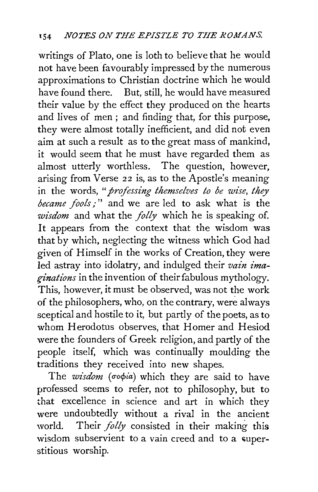writings of Plato, one is loth to believe that he would not have been favourably impressed by the numerous approximations to Christian doctrine which he would have found there. But, still, he would have measured their value by the effect they produced on the hearts and lives of men ; and finding that, for this purpose, they were almost totally inefficient, and did not even aim at such a result as to the great mass of mankind, it would seem that he must have regarded them as almost utterly worthless. The question, however, arising from Verse 22 is, as to the Apostle's meaning in the words, *"professing themselves to be wise, they became fools/"* and we are led to ask what is the *wisdom* and what the *folly* which he is speaking of. It appears from the context that the wisdom was that by which, neglecting the witness which God had given of Himself in the works of Creation, they were led astray into idolatry, and indulged their *vain imaginations* in the invention of their fabulous mythology. This, however, it must be observed, was not the work of the philosophers, who, on the contrary, were always sceptical and hostile to it, but partly of the poets, as to whom Herodotus observes, that Homer and Hesiod were the founders of Greek religion, and partly of the people itself, which was continually moulding the traditions they received into new shapes.

The *wisdom* ( $\sigma$ o $\phi$ *ia*) which they are said to have professed seems to refer, not to philosophy, but to that excellence in science and art in which they were undoubtedly without a rival in the ancient world. Their *folly* consisted in their making this wisdom subservient to a vain creed and to a superstitious worship.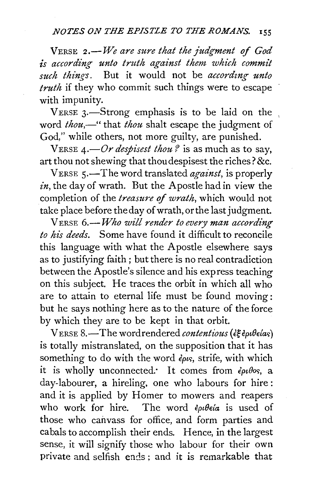VERSE *2.-We are sure that the judgment of God is according unto truth against them which commit such thing-s.* But it would not be *accordtng unto truth* if they who commit such things were to escape with impunity.

VERSE 3.—Strong emphasis is to be laid on the word *thou*,—" that *thou* shalt escape the judgment of God," while others, not more guilty, are punished.

VERSE  $4. -Or$  *despisest thou?* is as much as to say, art thou not shewing that thoudespisest the riches? &c.

V ERSE s.-The word translated *against,* is properly *in,* the day of wrath. But the Apostle had in view the completion of the *treastwe* of *wrath,* which would not take place before the day of wrath, or the last judgment.

V ERSE 6.-*Who will render to every man according to his deeds.* Some have found it difficult to reconcile this language with what the Apostle elsewhere says as to justifying faith; but there is no real contradiction between the Apostle's silence and his express teaching on this subject. He traces the orbit in which all who are to attain to eternal life must be found moving: but he says nothing here as to the nature of the force by which they are to be kept in that orbit.

V ERSE 8.-The word rendered *contentious (€geptBelac;)*  is totally mistranslated, on the supposition that it has something to do with the word *€ptc;,* strife, with which it is wholly unconnected. It comes from  $\epsilon_{\rho\iota}\theta_{\rho\sigma}$ , a day-labourer, a hireling, one who labours for hire: and it is applied by Homer to mowers and reapers who work for hire. The word  $\epsilon_{\rho\nu}$  folgeta is used of those who caiwass for office, and form parties and cabals to accomplish their ends. Hence, in the largest sense, it will signify those who labour for their own private and selfish ends ; and it is remarkable that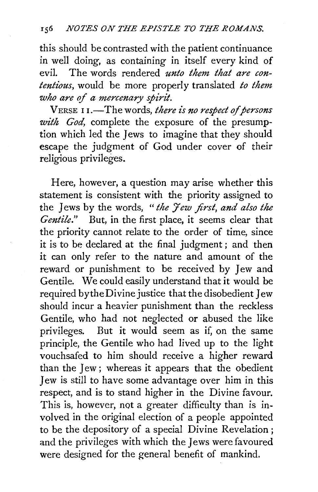this should be contrasted with the patient continuance in well doing, as containing in itself every kind of evil. The words rendered *unto them that are contentious,* would be more properly translated *to them who are* of *a mercenary spirit.* 

VERSE 11.<sup>-The words, *there is no respect of persons*</sup> *with God,* complete the exposure of the presumption which led the Jews to imagine that they should escape the judgment of God under cover of their religious privileges.

Here, however, a question may arise whether this statement is consistent with the priority assigned to the Jews by the words, " *the* 7 *ew first, and also the Gentile."* But, in the first place, it seems clear that the priority cannot relate to the order of time, since it is to be declared at the final judgment ; and then it can only refer to the nature and amount of the reward or punishment to be received by Jew and Gentile. We could easily understand that it would be required by the Divine justice that the disobedient Jew should incur a heavier punishment than the reckless Gentile, who had not neglected or abused the like privileges. But it would seem as if, on the same But it would seem as if, on the same principle, the Gentile who had lived up to the light vouchsafed to him should receive a higher reward than the Jew ; whereas it appears that the obedient Jew is still to have some advantage over him in this respect, and is to stand higher in the Divine favour. This is, however, not a greater difficulty than is involved in the original election of a people appointed to be the depository of a special Divine Revelation ; and the privileges with which the Jews were favoured were designed for the general benefit of mankind.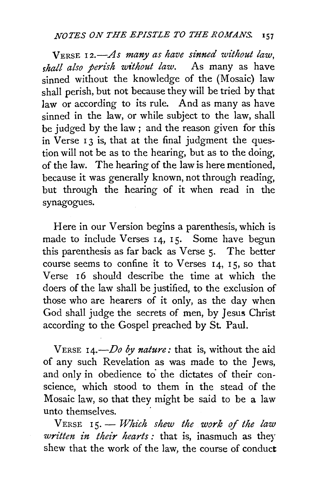VERSE 12.-As many as have sinned without law, *shall also perish without law.* As many as have sinned without the knowledge of the (Mosaic) law shall perish, but not because they will be tried by that law or according to its rule. And as many as have sinned in the law, or while subject to the law, shall be judged by the law ; and the reason given for this in Verse 13 is, that at the final judgment the question will not be as to the hearing, but as to the doing, of the law. The hearing of the law is here mentioned, because it was generally known, not through reading, but through the hearing of it when read in the synagogues.

Here in our Version begins a parenthesis, which is made to include Verses I4, I5. Some have begun this parenthesis as far back as Verse 5. The better course seems to confine it to Verses  $14$ ,  $15$ , so that Verse 16 should describe the time at which the doers of the law shall be justified, to the exclusion of those who are hearers of it only, as the day when God shall judge the secrets of men, by Jesus Christ according to the Gospel preached by St. Paul.

VERSE I4.-Do *by nature:* that is, without the aid of any such Revelation as was made to the Jews, and only in obedience to the dictates of their conscience, which stood to them in the stead of the Mosaic law, so that they might be said to be a law unto themselves.

VERSE I5.- *Which shew the work* of *the law written in their hearts :* that is, inasmuch as they shew that the work of the law, the course of conduct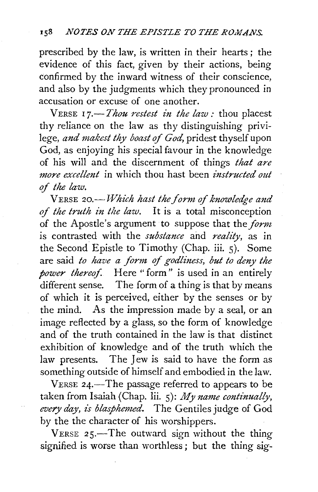prescribed by the law, is written in their hearts ; the evidence of this fact, given by their actions, being confirmed by the inward witness of their conscience, and also by the judgmerits which they pronounced in accusation or excuse of one another.

VERSE 17.<sup>-*Thou restest in the law*: thou placest</sup> thy reliance on the law as thy distinguishing privilege, and makest thy boast of God, pridest thyself upon God, as enjoying his special favour in the knowledge of his will and the discernment of things *that are more excellent* in which thou hast been *instructed out of the law.* 

VERSE 20.-*Which hast the form of knowledge and of the truth in the law*. It is a total misconception of the Apostle's argument to suppose that *the\_form*  is contrasted with the *substance* and *reality,* as in the Second Epistle to Timothy (Chap. iii. 5). Some are said *to have a form of godliness, but to deny the bower thereof.* Here "form" is used in an entirely different sense. The form of a thing is that by means of which it is perceived, either by the senses or by the mind. As the impression made by a seal, or an image reflected by a glass, so the form of knowledge and of the truth contained in the law is that distinct exhibition of knowledge and of the truth which the law presents. The Jew is said to have the form as something outside of himself and embodied in the law.

VERSE 24.-The passage referred to appears to be taken from Isaiah (Chap. lii.  $5$ ): *My name continually*, *every day, is blasphemed.* The Gentiles judge of God by the the character of his worshippers.

VERSE  $25 -$ The outward sign without the thing signified is worse than worthless; but the thing sig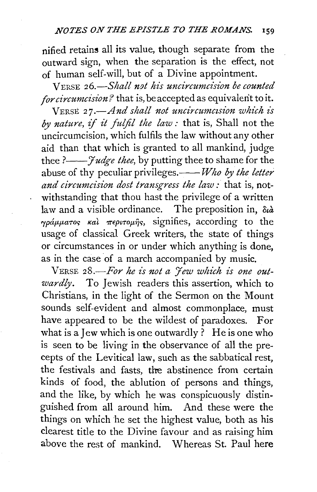nified retains all its value, though separate from the outward sign, when the separation is the effect, not of human self-will, but of a Divine appointment.

VERSE *26.-Shall n9t his uncircumcision be counted for circumcision?* that is, be accepted as equivalent to it.

VERSE 27.-And shall not uncircumcision which is *by nature,* if *it fulfil the law:* that is, Shall not the uncircumcision, which fulfils the law without any other aid than that which is granted to all mankind, judge thee *?--Judge thee,* by putting thee to shame for the abuse of thy peculiar privileges.——*Who by the letter and circumcision dost transgress the law :* that is, notwithstanding that thou hast the privilege of a written law and a visible ordinance. The preposition in, *ota*   $\gamma \rho \dot{\alpha} \mu \mu \alpha \tau$ os  $\kappa \dot{\alpha}$   $\pi \epsilon \rho \nu \tau \rho \mu \eta \gamma$ , signifies, according to the usage of classical Greek writers, the state of things or circumstances in or under which anything is done, as in the case of a march accompanied by music.

VERSE *28.-For he is not a Jew which is one outwardly.* To Jewish readers this assertion, which to Christians, in the light of the Sermon on the Mount sounds self-evident and almost commonplace, must have appeared to be the wildest of paradoxes. For what is a Jew which is one outwardly ? He is one who is seen to be living in the observance of all the precepts of the Levitical law, such as the sabbatical rest, the festivals and fasts, tlre abstinence from certain kinds of food, the ablution of persons and things, and the like, by which he was conspicuously distinguished from all around him. And these were the things on which he set the highest value, both as his clearest title to the Divine favour and as raising him above the rest of mankind. Whereas St. Paul here